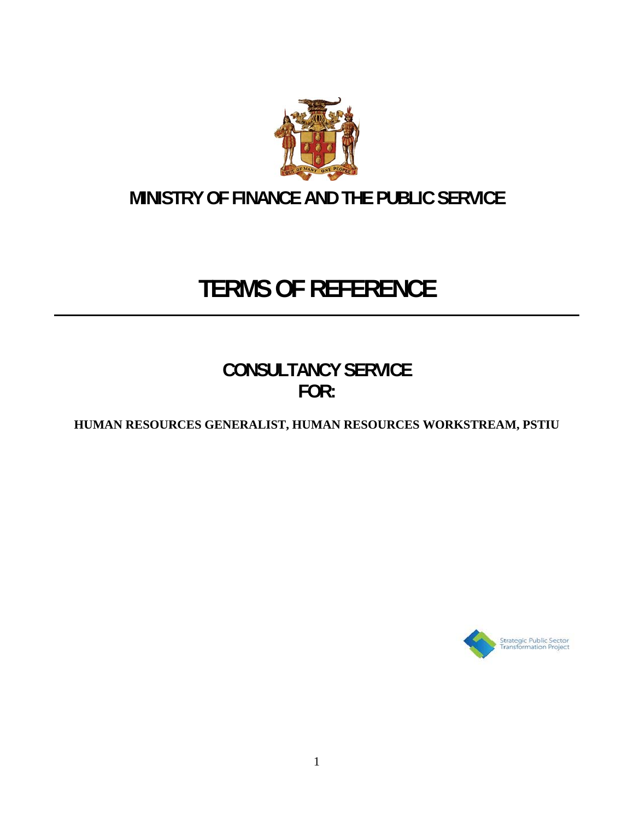

# **MINISTRY OF FINANCE AND THE PUBLIC SERVICE**

# **TERMS OF REFERENCE**

**CONSULTANCY SERVICE FOR:** 

**HUMAN RESOURCES GENERALIST, HUMAN RESOURCES WORKSTREAM, PSTIU** 

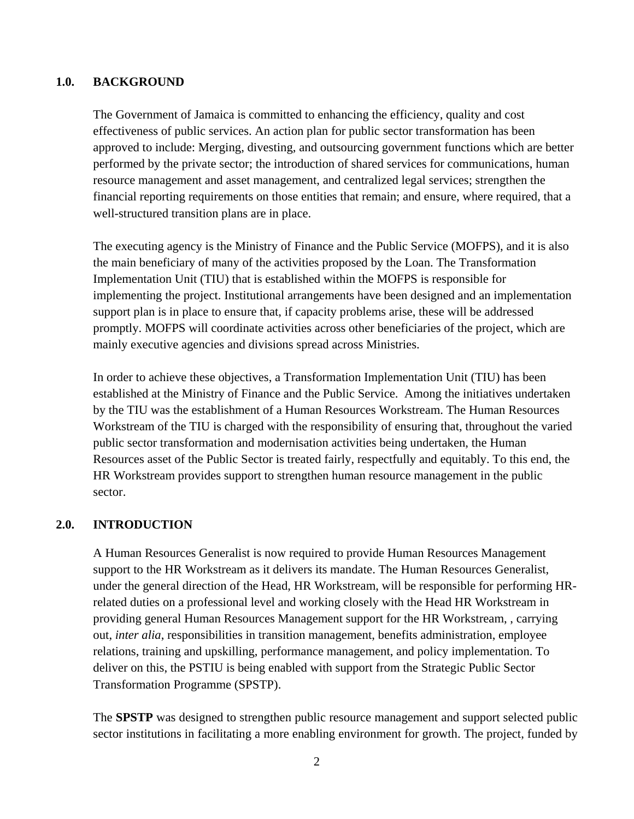### **1.0. BACKGROUND**

The Government of Jamaica is committed to enhancing the efficiency, quality and cost effectiveness of public services. An action plan for public sector transformation has been approved to include: Merging, divesting, and outsourcing government functions which are better performed by the private sector; the introduction of shared services for communications, human resource management and asset management, and centralized legal services; strengthen the financial reporting requirements on those entities that remain; and ensure, where required, that a well-structured transition plans are in place.

The executing agency is the Ministry of Finance and the Public Service (MOFPS), and it is also the main beneficiary of many of the activities proposed by the Loan. The Transformation Implementation Unit (TIU) that is established within the MOFPS is responsible for implementing the project. Institutional arrangements have been designed and an implementation support plan is in place to ensure that, if capacity problems arise, these will be addressed promptly. MOFPS will coordinate activities across other beneficiaries of the project, which are mainly executive agencies and divisions spread across Ministries.

In order to achieve these objectives, a Transformation Implementation Unit (TIU) has been established at the Ministry of Finance and the Public Service. Among the initiatives undertaken by the TIU was the establishment of a Human Resources Workstream. The Human Resources Workstream of the TIU is charged with the responsibility of ensuring that, throughout the varied public sector transformation and modernisation activities being undertaken, the Human Resources asset of the Public Sector is treated fairly, respectfully and equitably. To this end, the HR Workstream provides support to strengthen human resource management in the public sector.

#### **2.0. INTRODUCTION**

A Human Resources Generalist is now required to provide Human Resources Management support to the HR Workstream as it delivers its mandate. The Human Resources Generalist, under the general direction of the Head, HR Workstream, will be responsible for performing HRrelated duties on a professional level and working closely with the Head HR Workstream in providing general Human Resources Management support for the HR Workstream, , carrying out, *inter alia*, responsibilities in transition management, benefits administration, employee relations, training and upskilling, performance management, and policy implementation. To deliver on this, the PSTIU is being enabled with support from the Strategic Public Sector Transformation Programme (SPSTP).

The **SPSTP** was designed to strengthen public resource management and support selected public sector institutions in facilitating a more enabling environment for growth. The project, funded by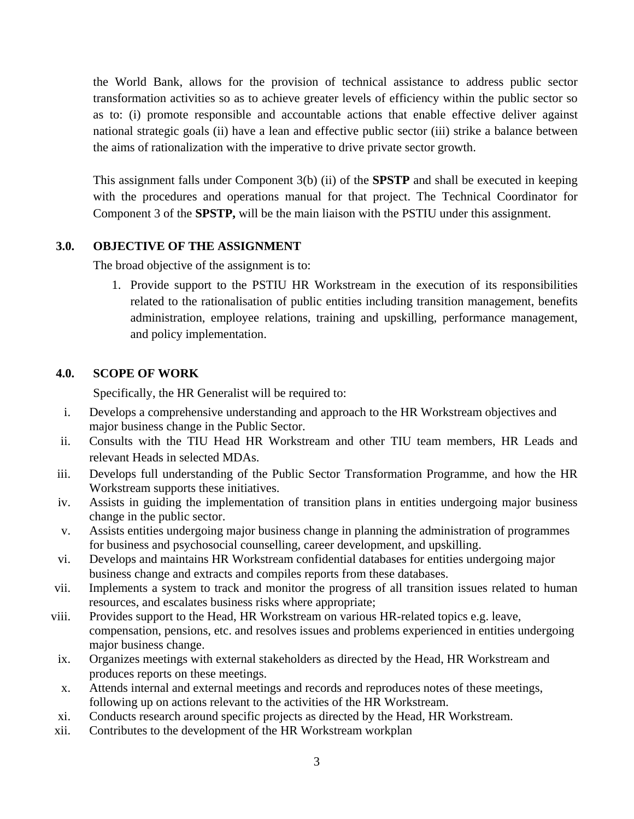the World Bank, allows for the provision of technical assistance to address public sector transformation activities so as to achieve greater levels of efficiency within the public sector so as to: (i) promote responsible and accountable actions that enable effective deliver against national strategic goals (ii) have a lean and effective public sector (iii) strike a balance between the aims of rationalization with the imperative to drive private sector growth.

This assignment falls under Component 3(b) (ii) of the **SPSTP** and shall be executed in keeping with the procedures and operations manual for that project. The Technical Coordinator for Component 3 of the **SPSTP,** will be the main liaison with the PSTIU under this assignment.

# **3.0. OBJECTIVE OF THE ASSIGNMENT**

The broad objective of the assignment is to:

1. Provide support to the PSTIU HR Workstream in the execution of its responsibilities related to the rationalisation of public entities including transition management, benefits administration, employee relations, training and upskilling, performance management, and policy implementation.

# **4.0. SCOPE OF WORK**

Specifically, the HR Generalist will be required to:

- i. Develops a comprehensive understanding and approach to the HR Workstream objectives and major business change in the Public Sector.
- ii. Consults with the TIU Head HR Workstream and other TIU team members, HR Leads and relevant Heads in selected MDAs.
- iii. Develops full understanding of the Public Sector Transformation Programme, and how the HR Workstream supports these initiatives.
- iv. Assists in guiding the implementation of transition plans in entities undergoing major business change in the public sector.
- v. Assists entities undergoing major business change in planning the administration of programmes for business and psychosocial counselling, career development, and upskilling.
- vi. Develops and maintains HR Workstream confidential databases for entities undergoing major business change and extracts and compiles reports from these databases.
- vii. Implements a system to track and monitor the progress of all transition issues related to human resources, and escalates business risks where appropriate;
- viii. Provides support to the Head, HR Workstream on various HR-related topics e.g. leave, compensation, pensions, etc. and resolves issues and problems experienced in entities undergoing major business change.
- ix. Organizes meetings with external stakeholders as directed by the Head, HR Workstream and produces reports on these meetings.
- x. Attends internal and external meetings and records and reproduces notes of these meetings, following up on actions relevant to the activities of the HR Workstream.
- xi. Conducts research around specific projects as directed by the Head, HR Workstream.
- xii. Contributes to the development of the HR Workstream workplan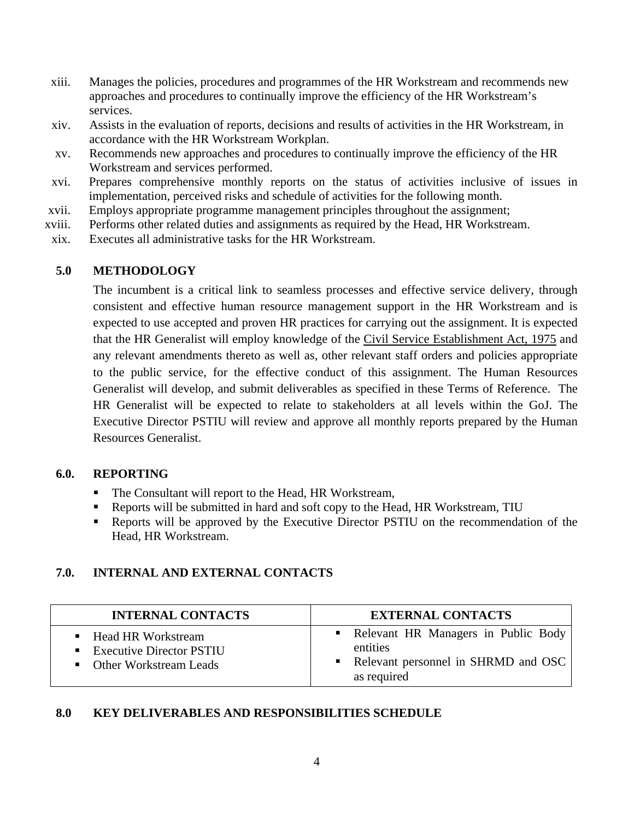- xiii. Manages the policies, procedures and programmes of the HR Workstream and recommends new approaches and procedures to continually improve the efficiency of the HR Workstream's services.
- xiv. Assists in the evaluation of reports, decisions and results of activities in the HR Workstream, in accordance with the HR Workstream Workplan.
- xv. Recommends new approaches and procedures to continually improve the efficiency of the HR Workstream and services performed.
- xvi. Prepares comprehensive monthly reports on the status of activities inclusive of issues in implementation, perceived risks and schedule of activities for the following month.
- xvii. Employs appropriate programme management principles throughout the assignment;
- xviii. Performs other related duties and assignments as required by the Head, HR Workstream.
- xix. Executes all administrative tasks for the HR Workstream.

### **5.0 METHODOLOGY**

The incumbent is a critical link to seamless processes and effective service delivery, through consistent and effective human resource management support in the HR Workstream and is expected to use accepted and proven HR practices for carrying out the assignment. It is expected that the HR Generalist will employ knowledge of the Civil Service Establishment Act, 1975 and any relevant amendments thereto as well as, other relevant staff orders and policies appropriate to the public service, for the effective conduct of this assignment. The Human Resources Generalist will develop, and submit deliverables as specified in these Terms of Reference. The HR Generalist will be expected to relate to stakeholders at all levels within the GoJ. The Executive Director PSTIU will review and approve all monthly reports prepared by the Human Resources Generalist.

#### **6.0. REPORTING**

- The Consultant will report to the Head, HR Workstream,
- Reports will be submitted in hard and soft copy to the Head, HR Workstream, TIU
- Reports will be approved by the Executive Director PSTIU on the recommendation of the Head, HR Workstream.

# **7.0. INTERNAL AND EXTERNAL CONTACTS**

| <b>INTERNAL CONTACTS</b>                                                       | <b>EXTERNAL CONTACTS</b>                                                                                  |
|--------------------------------------------------------------------------------|-----------------------------------------------------------------------------------------------------------|
| ■ Head HR Workstream<br>■ Executive Director PSTIU<br>• Other Workstream Leads | • Relevant HR Managers in Public Body<br>entities<br>• Relevant personnel in SHRMD and OSC<br>as required |

# **8.0 KEY DELIVERABLES AND RESPONSIBILITIES SCHEDULE**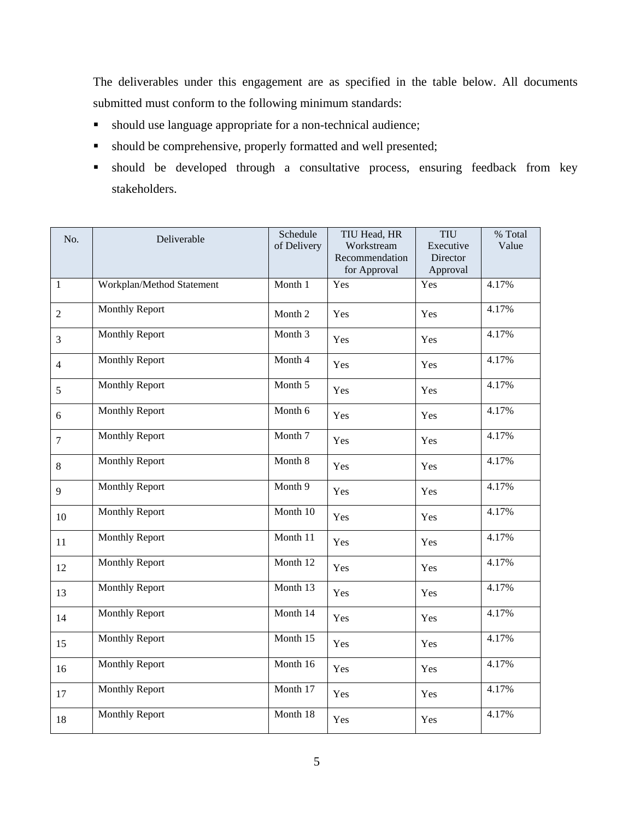The deliverables under this engagement are as specified in the table below. All documents submitted must conform to the following minimum standards:

- should use language appropriate for a non-technical audience;
- should be comprehensive, properly formatted and well presented;
- should be developed through a consultative process, ensuring feedback from key stakeholders.

| No.            | Deliverable               | Schedule<br>of Delivery | TIU Head, HR<br>Workstream     | <b>TIU</b><br>Executive | % Total<br>Value |
|----------------|---------------------------|-------------------------|--------------------------------|-------------------------|------------------|
|                |                           |                         | Recommendation<br>for Approval | Director<br>Approval    |                  |
| $\mathbf{1}$   | Workplan/Method Statement | Month 1                 | Yes                            | Yes                     | 4.17%            |
| $\overline{2}$ | Monthly Report            | Month 2                 | Yes                            | Yes                     | 4.17%            |
| 3              | <b>Monthly Report</b>     | Month 3                 | Yes                            | Yes                     | 4.17%            |
| $\overline{4}$ | <b>Monthly Report</b>     | Month 4                 | Yes                            | Yes                     | 4.17%            |
| 5              | <b>Monthly Report</b>     | Month 5                 | Yes                            | Yes                     | 4.17%            |
| 6              | <b>Monthly Report</b>     | Month 6                 | Yes                            | Yes                     | 4.17%            |
| $\overline{7}$ | <b>Monthly Report</b>     | Month 7                 | Yes                            | Yes                     | 4.17%            |
| $\,8\,$        | <b>Monthly Report</b>     | Month 8                 | Yes                            | Yes                     | 4.17%            |
| 9              | Monthly Report            | Month 9                 | Yes                            | Yes                     | 4.17%            |
| 10             | Monthly Report            | Month 10                | Yes                            | Yes                     | 4.17%            |
| 11             | <b>Monthly Report</b>     | Month 11                | Yes                            | Yes                     | 4.17%            |
| 12             | <b>Monthly Report</b>     | Month 12                | Yes                            | Yes                     | 4.17%            |
| 13             | Monthly Report            | Month 13                | Yes                            | Yes                     | 4.17%            |
| 14             | <b>Monthly Report</b>     | Month 14                | Yes                            | Yes                     | 4.17%            |
| 15             | <b>Monthly Report</b>     | Month 15                | Yes                            | Yes                     | 4.17%            |
| 16             | <b>Monthly Report</b>     | Month 16                | Yes                            | Yes                     | 4.17%            |
| 17             | <b>Monthly Report</b>     | Month 17                | Yes                            | Yes                     | 4.17%            |
| 18             | <b>Monthly Report</b>     | Month 18                | Yes                            | Yes                     | 4.17%            |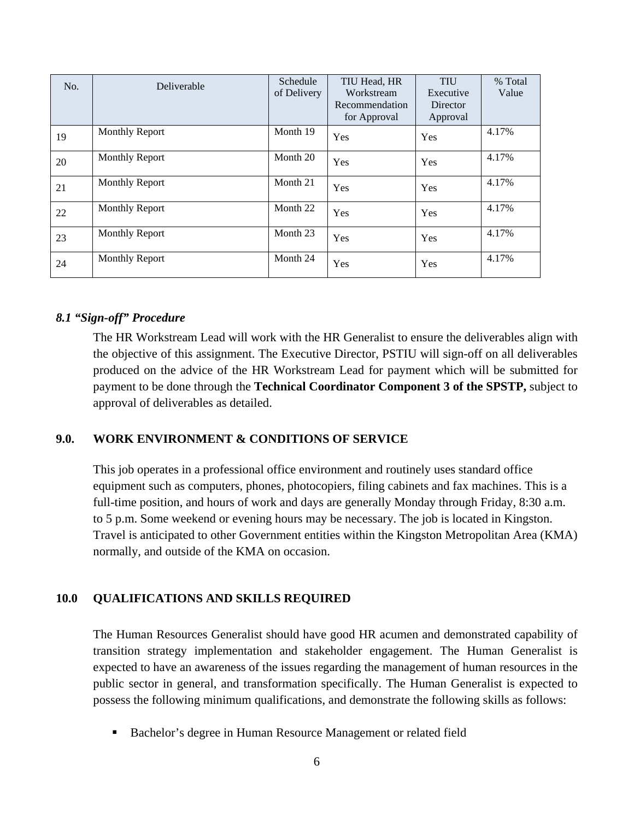| No. | Deliverable           | Schedule<br>of Delivery | TIU Head, HR<br>Workstream     | <b>TIU</b><br>Executive | % Total<br>Value |
|-----|-----------------------|-------------------------|--------------------------------|-------------------------|------------------|
|     |                       |                         | Recommendation<br>for Approval | Director<br>Approval    |                  |
| 19  | <b>Monthly Report</b> | Month 19                | Yes                            | Yes                     | 4.17%            |
| 20  | <b>Monthly Report</b> | Month 20                | Yes                            | Yes                     | 4.17%            |
| 21  | <b>Monthly Report</b> | Month 21                | Yes                            | Yes                     | 4.17%            |
| 22  | <b>Monthly Report</b> | Month 22                | Yes                            | Yes                     | 4.17%            |
| 23  | <b>Monthly Report</b> | Month 23                | Yes                            | Yes                     | 4.17%            |
| 24  | <b>Monthly Report</b> | Month 24                | Yes                            | Yes                     | 4.17%            |

#### *8.1 "Sign-off" Procedure*

The HR Workstream Lead will work with the HR Generalist to ensure the deliverables align with the objective of this assignment. The Executive Director, PSTIU will sign-off on all deliverables produced on the advice of the HR Workstream Lead for payment which will be submitted for payment to be done through the **Technical Coordinator Component 3 of the SPSTP,** subject to approval of deliverables as detailed.

#### **9.0. WORK ENVIRONMENT & CONDITIONS OF SERVICE**

This job operates in a professional office environment and routinely uses standard office equipment such as computers, phones, photocopiers, filing cabinets and fax machines. This is a full-time position, and hours of work and days are generally Monday through Friday, 8:30 a.m. to 5 p.m. Some weekend or evening hours may be necessary. The job is located in Kingston. Travel is anticipated to other Government entities within the Kingston Metropolitan Area (KMA) normally, and outside of the KMA on occasion.

#### **10.0 QUALIFICATIONS AND SKILLS REQUIRED**

The Human Resources Generalist should have good HR acumen and demonstrated capability of transition strategy implementation and stakeholder engagement. The Human Generalist is expected to have an awareness of the issues regarding the management of human resources in the public sector in general, and transformation specifically. The Human Generalist is expected to possess the following minimum qualifications, and demonstrate the following skills as follows:

■ Bachelor's degree in Human Resource Management or related field